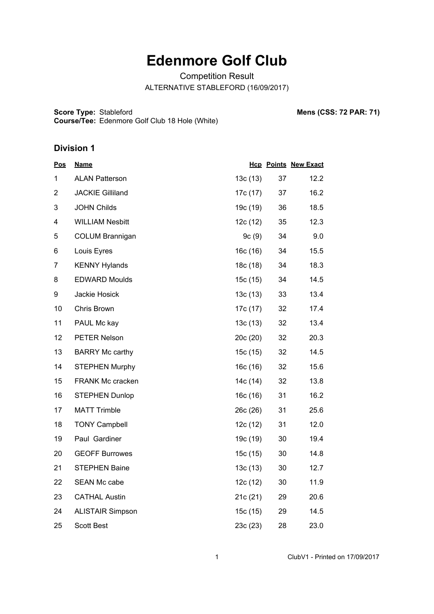## **Edenmore Golf Club**

Competition Result

ALTERNATIVE STABLEFORD (16/09/2017)

**Score Type: Course/Tee:** Stableford **Mens (CSS: 72 PAR: 71)** Edenmore Golf Club 18 Hole (White)

## **Division 1**

| <u>Pos</u>     | <b>Name</b>             |          |    | <b>Hcp Points New Exact</b> |
|----------------|-------------------------|----------|----|-----------------------------|
| 1              | <b>ALAN Patterson</b>   | 13c(13)  | 37 | 12.2                        |
| $\overline{2}$ | <b>JACKIE Gilliland</b> | 17c (17) | 37 | 16.2                        |
| 3              | <b>JOHN Childs</b>      | 19c (19) | 36 | 18.5                        |
| 4              | <b>WILLIAM Nesbitt</b>  | 12c(12)  | 35 | 12.3                        |
| 5              | <b>COLUM Brannigan</b>  | 9c(9)    | 34 | 9.0                         |
| 6              | Louis Eyres             | 16c(16)  | 34 | 15.5                        |
| 7              | <b>KENNY Hylands</b>    | 18c (18) | 34 | 18.3                        |
| 8              | <b>EDWARD Moulds</b>    | 15c (15) | 34 | 14.5                        |
| 9              | Jackie Hosick           | 13c(13)  | 33 | 13.4                        |
| 10             | Chris Brown             | 17c (17) | 32 | 17.4                        |
| 11             | PAUL Mc kay             | 13c(13)  | 32 | 13.4                        |
| 12             | <b>PETER Nelson</b>     | 20c(20)  | 32 | 20.3                        |
| 13             | <b>BARRY Mc carthy</b>  | 15c (15) | 32 | 14.5                        |
| 14             | <b>STEPHEN Murphy</b>   | 16c (16) | 32 | 15.6                        |
| 15             | FRANK Mc cracken        | 14c (14) | 32 | 13.8                        |
| 16             | <b>STEPHEN Dunlop</b>   | 16c (16) | 31 | 16.2                        |
| 17             | <b>MATT Trimble</b>     | 26c (26) | 31 | 25.6                        |
| 18             | <b>TONY Campbell</b>    | 12c(12)  | 31 | 12.0                        |
| 19             | Paul Gardiner           | 19c (19) | 30 | 19.4                        |
| 20             | <b>GEOFF Burrowes</b>   | 15c (15) | 30 | 14.8                        |
| 21             | <b>STEPHEN Baine</b>    | 13c(13)  | 30 | 12.7                        |
| 22             | SEAN Mc cabe            | 12c(12)  | 30 | 11.9                        |
| 23             | <b>CATHAL Austin</b>    | 21c (21) | 29 | 20.6                        |
| 24             | <b>ALISTAIR Simpson</b> | 15c (15) | 29 | 14.5                        |
| 25             | <b>Scott Best</b>       | 23c(23)  | 28 | 23.0                        |